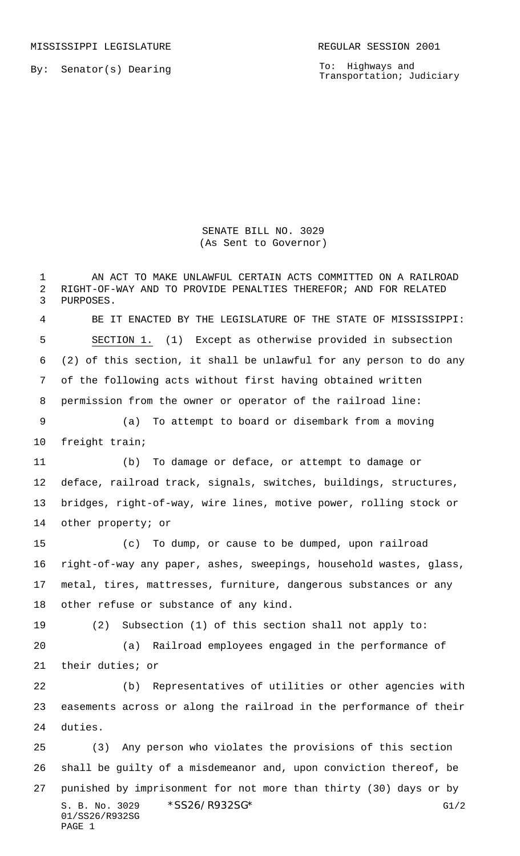MISSISSIPPI LEGISLATURE **REGULAR SESSION 2001** 

By: Senator(s) Dearing

PAGE 1

To: Highways and Transportation; Judiciary

## SENATE BILL NO. 3029 (As Sent to Governor)

S. B. No. 3029 \* SS26/R932SG\* G1/2 01/SS26/R932SG AN ACT TO MAKE UNLAWFUL CERTAIN ACTS COMMITTED ON A RAILROAD RIGHT-OF-WAY AND TO PROVIDE PENALTIES THEREFOR; AND FOR RELATED PURPOSES. BE IT ENACTED BY THE LEGISLATURE OF THE STATE OF MISSISSIPPI: SECTION 1. (1) Except as otherwise provided in subsection (2) of this section, it shall be unlawful for any person to do any of the following acts without first having obtained written permission from the owner or operator of the railroad line: (a) To attempt to board or disembark from a moving freight train; (b) To damage or deface, or attempt to damage or deface, railroad track, signals, switches, buildings, structures, bridges, right-of-way, wire lines, motive power, rolling stock or other property; or (c) To dump, or cause to be dumped, upon railroad right-of-way any paper, ashes, sweepings, household wastes, glass, metal, tires, mattresses, furniture, dangerous substances or any other refuse or substance of any kind. (2) Subsection (1) of this section shall not apply to: (a) Railroad employees engaged in the performance of their duties; or (b) Representatives of utilities or other agencies with easements across or along the railroad in the performance of their duties. (3) Any person who violates the provisions of this section shall be guilty of a misdemeanor and, upon conviction thereof, be punished by imprisonment for not more than thirty (30) days or by